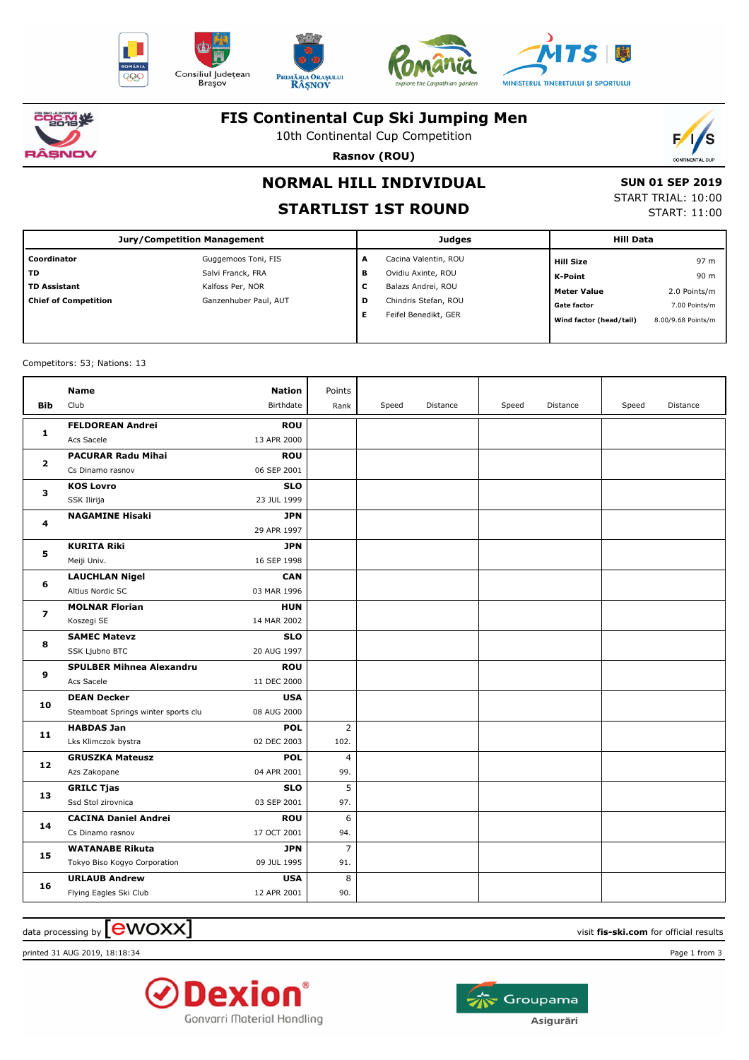











### **FIS Continental Cup Ski Jumping Men**

10th Continental Cup Competition



**Rasnov (ROU)**

# **NORMAL HILL INDIVIDUAL**

## **STARTLIST 1ST ROUND**

 **SUN 01 SEP 2019** START TRIAL: 10:00 START: 11:00

| <b>Jury/Competition Management</b> |                       |   | <b>Judges</b>        | <b>Hill Data</b> |                         |                    |
|------------------------------------|-----------------------|---|----------------------|------------------|-------------------------|--------------------|
| Coordinator                        | Guggemoos Toni, FIS   | A | Cacina Valentin, ROU |                  | <b>Hill Size</b>        | 97 m               |
| <b>TD</b>                          | Salvi Franck, FRA     | в | Ovidiu Axinte, ROU   |                  | K-Point                 | 90 m               |
| <b>TD Assistant</b>                | Kalfoss Per, NOR      | c | Balazs Andrei, ROU   |                  | <b>Meter Value</b>      | 2.0 Points/m       |
| <b>Chief of Competition</b>        | Ganzenhuber Paul, AUT | D | Chindris Stefan, ROU |                  | <b>Gate factor</b>      | 7.00 Points/m      |
|                                    |                       | Е | Feifel Benedikt, GER |                  | Wind factor (head/tail) | 8.00/9.68 Points/m |
|                                    |                       |   |                      |                  |                         |                    |

Competitors: 53; Nations: 13

| <b>Bib</b>     | Name<br>Club                                              | <b>Nation</b><br>Birthdate | Points<br>Rank         | Speed | Distance | Speed | Distance | Speed | Distance |
|----------------|-----------------------------------------------------------|----------------------------|------------------------|-------|----------|-------|----------|-------|----------|
| 1              | <b>FELDOREAN Andrei</b><br>Acs Sacele                     | <b>ROU</b><br>13 APR 2000  |                        |       |          |       |          |       |          |
| $\overline{2}$ | <b>PACURAR Radu Mihai</b><br>Cs Dinamo rasnov             | <b>ROU</b><br>06 SEP 2001  |                        |       |          |       |          |       |          |
| 3              | <b>KOS Lovro</b><br>SSK Ilirija                           | <b>SLO</b><br>23 JUL 1999  |                        |       |          |       |          |       |          |
| 4              | <b>NAGAMINE Hisaki</b>                                    | <b>JPN</b><br>29 APR 1997  |                        |       |          |       |          |       |          |
| 5              | <b>KURITA Riki</b><br>Meiji Univ.                         | <b>JPN</b><br>16 SEP 1998  |                        |       |          |       |          |       |          |
| 6              | <b>LAUCHLAN Nigel</b><br>Altius Nordic SC                 | <b>CAN</b><br>03 MAR 1996  |                        |       |          |       |          |       |          |
| $\overline{ }$ | <b>MOLNAR Florian</b><br>Koszegi SE                       | <b>HUN</b><br>14 MAR 2002  |                        |       |          |       |          |       |          |
| 8              | <b>SAMEC Matevz</b><br>SSK Ljubno BTC                     | <b>SLO</b><br>20 AUG 1997  |                        |       |          |       |          |       |          |
| 9              | <b>SPULBER Mihnea Alexandru</b><br>Acs Sacele             | <b>ROU</b><br>11 DEC 2000  |                        |       |          |       |          |       |          |
| 10             | <b>DEAN Decker</b><br>Steamboat Springs winter sports clu | <b>USA</b><br>08 AUG 2000  |                        |       |          |       |          |       |          |
| 11             | <b>HABDAS Jan</b><br>Lks Klimczok bystra                  | <b>POL</b><br>02 DEC 2003  | $\overline{2}$<br>102. |       |          |       |          |       |          |
| 12             | <b>GRUSZKA Mateusz</b><br>Azs Zakopane                    | <b>POL</b><br>04 APR 2001  | $\overline{4}$<br>99.  |       |          |       |          |       |          |
| 13             | <b>GRILC Tjas</b><br>Ssd Stol zirovnica                   | <b>SLO</b><br>03 SEP 2001  | 5<br>97.               |       |          |       |          |       |          |
| 14             | <b>CACINA Daniel Andrei</b><br>Cs Dinamo rasnov           | <b>ROU</b><br>17 OCT 2001  | 6<br>94.               |       |          |       |          |       |          |
| 15             | <b>WATANABE Rikuta</b><br>Tokyo Biso Kogyo Corporation    | <b>JPN</b><br>09 JUL 1995  | $\overline{7}$<br>91.  |       |          |       |          |       |          |
| 16             | <b>URLAUB Andrew</b><br>Flying Eagles Ski Club            | <b>USA</b><br>12 APR 2001  | 8<br>90.               |       |          |       |          |       |          |

 $\alpha$  data processing by  $\boxed{\text{ewOX}}$ 

printed 31 AUG 2019, 18:18:34 Page 1 from 3



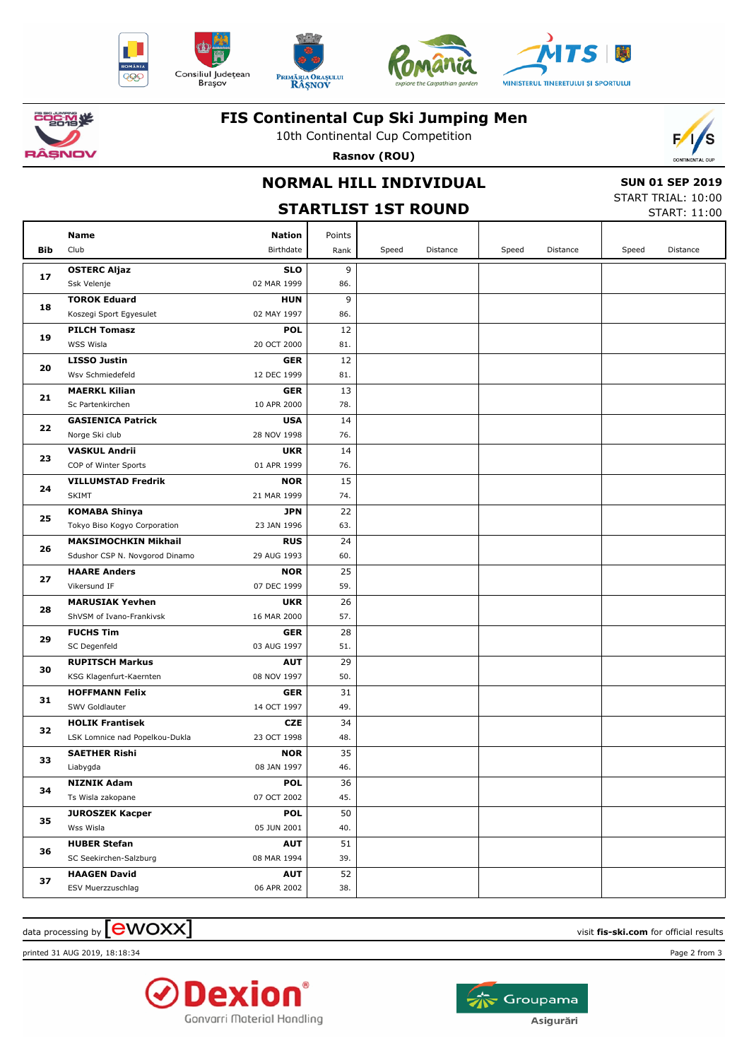











**Bib**

**17**

**18**

**19**

**20**

**21**

**22**

**23**

**24**

**25**

**26**

**27**

**28**

**29**

**30**

**31**

**32**

**33**

**34**

**35**

**36**

**37**

### **FIS Continental Cup Ski Jumping Men**

10th Continental Cup Competition



|                                | Tuth Continental Cup Competition                            | F/S    |                                                                     |          |       |          |       |                        |
|--------------------------------|-------------------------------------------------------------|--------|---------------------------------------------------------------------|----------|-------|----------|-------|------------------------|
| <b>NOV</b>                     | Rasnov (ROU)                                                |        |                                                                     |          |       |          |       | <b>CONTINENTAL CUP</b> |
|                                | <b>NORMAL HILL INDIVIDUAL</b><br><b>STARTLIST 1ST ROUND</b> |        | <b>SUN 01 SEP 2019</b><br>START TRIAL: 10:00<br><b>START: 11:00</b> |          |       |          |       |                        |
| <b>Name</b>                    | <b>Nation</b>                                               | Points |                                                                     |          |       |          |       |                        |
| Club                           | Birthdate                                                   | Rank   | Speed                                                               | Distance | Speed | Distance | Speed | Distance               |
| <b>OSTERC Aljaz</b>            | <b>SLO</b>                                                  | 9      |                                                                     |          |       |          |       |                        |
| Ssk Velenje                    | 02 MAR 1999                                                 | 86.    |                                                                     |          |       |          |       |                        |
| <b>TOROK Eduard</b>            | <b>HUN</b>                                                  | 9      |                                                                     |          |       |          |       |                        |
| Koszegi Sport Egyesulet        | 02 MAY 1997                                                 | 86.    |                                                                     |          |       |          |       |                        |
| <b>PILCH Tomasz</b>            | <b>POL</b>                                                  | 12     |                                                                     |          |       |          |       |                        |
| WSS Wisla                      | 20 OCT 2000                                                 | 81.    |                                                                     |          |       |          |       |                        |
| <b>LISSO Justin</b>            | <b>GER</b>                                                  | 12     |                                                                     |          |       |          |       |                        |
| Wsv Schmiedefeld               | 12 DEC 1999                                                 | 81.    |                                                                     |          |       |          |       |                        |
| <b>MAERKL Kilian</b>           | <b>GER</b>                                                  | 13     |                                                                     |          |       |          |       |                        |
| Sc Partenkirchen               | 10 APR 2000                                                 | 78.    |                                                                     |          |       |          |       |                        |
| <b>GASIENICA Patrick</b>       | <b>USA</b>                                                  | 14     |                                                                     |          |       |          |       |                        |
| Norge Ski club                 | 28 NOV 1998                                                 | 76.    |                                                                     |          |       |          |       |                        |
| <b>VASKUL Andrii</b>           | <b>UKR</b>                                                  | 14     |                                                                     |          |       |          |       |                        |
| COP of Winter Sports           | 01 APR 1999                                                 | 76.    |                                                                     |          |       |          |       |                        |
| <b>VILLUMSTAD Fredrik</b>      | <b>NOR</b>                                                  | 15     |                                                                     |          |       |          |       |                        |
| <b>SKIMT</b>                   | 21 MAR 1999                                                 | 74.    |                                                                     |          |       |          |       |                        |
| <b>KOMABA Shinya</b>           | <b>JPN</b>                                                  | 22     |                                                                     |          |       |          |       |                        |
| Tokyo Biso Kogyo Corporation   | 23 JAN 1996                                                 | 63.    |                                                                     |          |       |          |       |                        |
| <b>MAKSIMOCHKIN Mikhail</b>    | <b>RUS</b>                                                  | 24     |                                                                     |          |       |          |       |                        |
| Sdushor CSP N. Novgorod Dinamo | 29 AUG 1993                                                 | 60.    |                                                                     |          |       |          |       |                        |
| <b>HAARE Anders</b>            | <b>NOR</b>                                                  | 25     |                                                                     |          |       |          |       |                        |
| Vikersund IF                   | 07 DEC 1999                                                 | 59.    |                                                                     |          |       |          |       |                        |
| <b>MARUSIAK Yevhen</b>         | <b>UKR</b>                                                  | 26     |                                                                     |          |       |          |       |                        |
| ShVSM of Ivano-Frankivsk       | 16 MAR 2000                                                 | 57.    |                                                                     |          |       |          |       |                        |
| <b>FUCHS Tim</b>               | <b>GER</b>                                                  | 28     |                                                                     |          |       |          |       |                        |
| SC Degenfeld                   | 03 AUG 1997                                                 | 51.    |                                                                     |          |       |          |       |                        |
| <b>RUPITSCH Markus</b>         | <b>AUT</b>                                                  | 29     |                                                                     |          |       |          |       |                        |
| KSG Klagenfurt-Kaernten        | 08 NOV 1997                                                 | 50.    |                                                                     |          |       |          |       |                        |
| <b>HOFFMANN Felix</b>          | <b>GER</b>                                                  | 31     |                                                                     |          |       |          |       |                        |
| SWV Goldlauter                 | 14 OCT 1997                                                 | 49.    |                                                                     |          |       |          |       |                        |
| <b>HOLIK Frantisek</b>         | <b>CZE</b>                                                  | 34     |                                                                     |          |       |          |       |                        |

 $\alpha$  data processing by  $\boxed{\text{ewOX}}$ 

LSK Lomnice nad Popelkou-Dukla

**SAETHER Rishi** Liabygda

**NIZNIK Adam** Ts Wisla zakopane

**HUBER Stefan** SC Seekirchen-Salzburg

**HAAGEN David** ESV Muerzzuschlag

Wss Wisla

**JUROSZEK Kacper**

printed 31 AUG 2019, 18:18:34 Page 2 from 3



23 OCT 1998

**NOR** 08 JAN 1997

**POL** 07 OCT 2002

**POL** 05 JUN 2001

**AUT** 08 MAR 1994

**AUT** 06 APR 2002 48.

46. 35

45. 36

40. 50

39. 51

38. 52